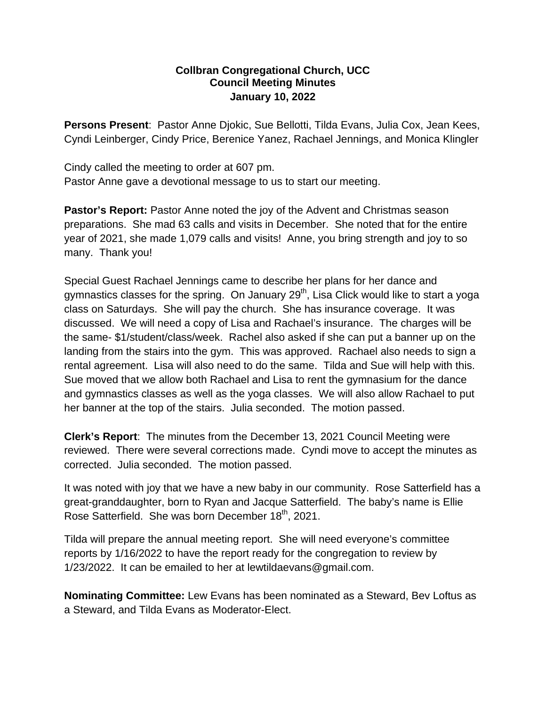## **Collbran Congregational Church, UCC Council Meeting Minutes January 10, 2022**

**Persons Present**: Pastor Anne Djokic, Sue Bellotti, Tilda Evans, Julia Cox, Jean Kees, Cyndi Leinberger, Cindy Price, Berenice Yanez, Rachael Jennings, and Monica Klingler

Cindy called the meeting to order at 607 pm. Pastor Anne gave a devotional message to us to start our meeting.

**Pastor's Report:** Pastor Anne noted the joy of the Advent and Christmas season preparations. She mad 63 calls and visits in December. She noted that for the entire year of 2021, she made 1,079 calls and visits! Anne, you bring strength and joy to so many. Thank you!

Special Guest Rachael Jennings came to describe her plans for her dance and gymnastics classes for the spring. On January  $29<sup>th</sup>$ , Lisa Click would like to start a yoga class on Saturdays. She will pay the church. She has insurance coverage. It was discussed. We will need a copy of Lisa and Rachael's insurance. The charges will be the same- \$1/student/class/week. Rachel also asked if she can put a banner up on the landing from the stairs into the gym. This was approved. Rachael also needs to sign a rental agreement. Lisa will also need to do the same. Tilda and Sue will help with this. Sue moved that we allow both Rachael and Lisa to rent the gymnasium for the dance and gymnastics classes as well as the yoga classes. We will also allow Rachael to put her banner at the top of the stairs. Julia seconded. The motion passed.

**Clerk's Report**: The minutes from the December 13, 2021 Council Meeting were reviewed. There were several corrections made. Cyndi move to accept the minutes as corrected. Julia seconded. The motion passed.

It was noted with joy that we have a new baby in our community. Rose Satterfield has a great-granddaughter, born to Ryan and Jacque Satterfield. The baby's name is Ellie Rose Satterfield. She was born December 18<sup>th</sup>, 2021.

Tilda will prepare the annual meeting report. She will need everyone's committee reports by 1/16/2022 to have the report ready for the congregation to review by 1/23/2022. It can be emailed to her at lewtildaevans@gmail.com.

**Nominating Committee:** Lew Evans has been nominated as a Steward, Bev Loftus as a Steward, and Tilda Evans as Moderator-Elect.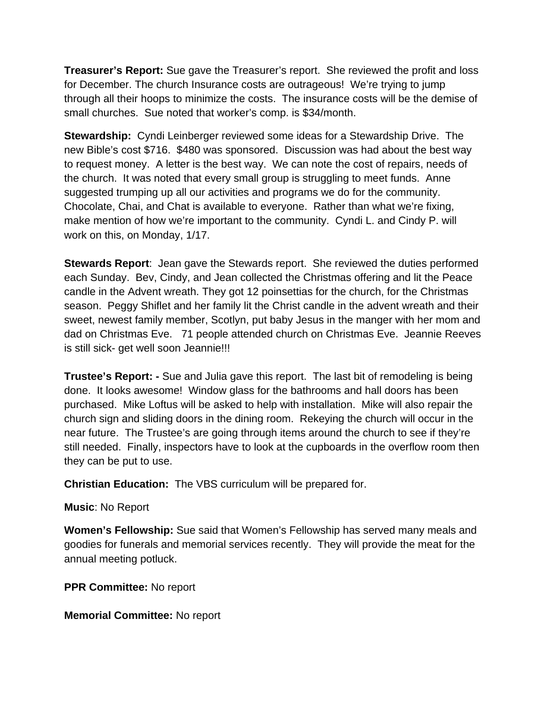**Treasurer's Report:** Sue gave the Treasurer's report. She reviewed the profit and loss for December. The church Insurance costs are outrageous! We're trying to jump through all their hoops to minimize the costs. The insurance costs will be the demise of small churches. Sue noted that worker's comp. is \$34/month.

**Stewardship:** Cyndi Leinberger reviewed some ideas for a Stewardship Drive. The new Bible's cost \$716. \$480 was sponsored. Discussion was had about the best way to request money. A letter is the best way. We can note the cost of repairs, needs of the church. It was noted that every small group is struggling to meet funds. Anne suggested trumping up all our activities and programs we do for the community. Chocolate, Chai, and Chat is available to everyone. Rather than what we're fixing, make mention of how we're important to the community. Cyndi L. and Cindy P. will work on this, on Monday, 1/17.

**Stewards Report**: Jean gave the Stewards report. She reviewed the duties performed each Sunday. Bev, Cindy, and Jean collected the Christmas offering and lit the Peace candle in the Advent wreath. They got 12 poinsettias for the church, for the Christmas season. Peggy Shiflet and her family lit the Christ candle in the advent wreath and their sweet, newest family member, Scotlyn, put baby Jesus in the manger with her mom and dad on Christmas Eve. 71 people attended church on Christmas Eve. Jeannie Reeves is still sick- get well soon Jeannie!!!

**Trustee's Report: -** Sue and Julia gave this report. The last bit of remodeling is being done. It looks awesome! Window glass for the bathrooms and hall doors has been purchased. Mike Loftus will be asked to help with installation. Mike will also repair the church sign and sliding doors in the dining room. Rekeying the church will occur in the near future. The Trustee's are going through items around the church to see if they're still needed. Finally, inspectors have to look at the cupboards in the overflow room then they can be put to use.

**Christian Education:** The VBS curriculum will be prepared for.

**Music**: No Report

**Women's Fellowship:** Sue said that Women's Fellowship has served many meals and goodies for funerals and memorial services recently. They will provide the meat for the annual meeting potluck.

**PPR Committee:** No report

**Memorial Committee:** No report